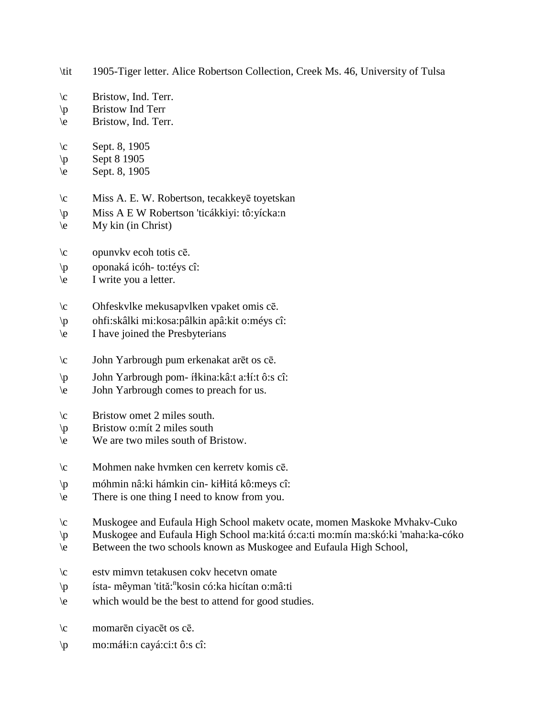\tit 1905-Tiger letter. Alice Robertson Collection, Creek Ms. 46, University of Tulsa

- $\c$  Bristow, Ind. Terr.
- \p Bristow Ind Terr
- \e Bristow, Ind. Terr.
- $\c$  Sept. 8, 1905
- $\pmb{\text{p}}$  Sept 8 1905
- \e Sept. 8, 1905
- \c Miss A. E. W. Robertson, tecakkeyē toyetskan
- \p Miss A E W Robertson 'ticákkiyi: tô:yícka:n
- $\leq$  My kin (in Christ)
- \c opunvkv ecoh totis cē.
- \p oponaká icóh- to:téys cî:
- \e I write you a letter.
- \c Ohfeskvlke mekusapvlken vpaket omis cē.
- \p ohfi:skâlki mi:kosa:pâlkin apâ:kit o:méys cî:
- \e I have joined the Presbyterians
- \c John Yarbrough pum erkenakat arēt os cē.
- \p John Yarbrough pom- í!kina:kâ:t a:!í:t ô:s cî:
- \e John Yarbrough comes to preach for us.
- \c Bristow omet 2 miles south.
- \p Bristow o:mít 2 miles south
- \e We are two miles south of Bristow.
- \c Mohmen nake hvmken cen kerretv komis cē.
- \p móhmin nâ:ki hámkin cin- ki!!itá kô:meys cî:
- \e There is one thing I need to know from you.
- \c Muskogee and Eufaula High School maketv ocate, momen Maskoke Mvhakv-Cuko
- \p Muskogee and Eufaula High School ma:kitá ó:ca:ti mo:mín ma:skó:ki 'maha:ka-cóko
- \e Between the two schools known as Muskogee and Eufaula High School,
- \c estv mimvn tetakusen cokv hecetvn omate
- \p ísta- mêyman 'tită: n kosin có:ka hicítan o:mâ:ti
- \e which would be the best to attend for good studies.
- \c momarēn ciyacēt os cē.
- $\pi$  mo:máti:n cayá:ci:t ô:s cî: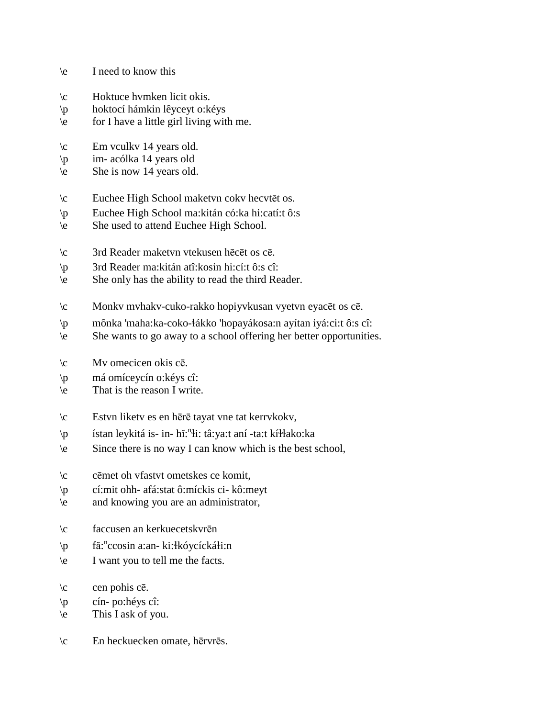- \e I need to know this
- \c Hoktuce hvmken licit okis.
- \p hoktocí hámkin lêyceyt o:kéys
- \e for I have a little girl living with me.
- \c Em vculkv 14 years old.
- \p im- acólka 14 years old
- \e She is now 14 years old.
- \c Euchee High School maketvn cokv hecvtēt os.
- \p Euchee High School ma:kitán có:ka hi:catí:t ô:s
- \e She used to attend Euchee High School.
- \c 3rd Reader maketvn vtekusen hēcēt os cē.
- \p 3rd Reader ma:kitán atî:kosin hi:cí:t ô:s cî:
- \e She only has the ability to read the third Reader.
- \c Monkv mvhakv-cuko-rakko hopiyvkusan vyetvn eyacēt os cē.
- \p mônka 'maha:ka-coko-!ákko 'hopayákosa:n ayítan iyá:ci:t ô:s cî:
- \e She wants to go away to a school offering her better opportunities.
- $\c$  Mv omecicen okis cē.
- \p má omíceycín o:kéys cî:
- \e That is the reason I write.
- \c Estvn liketv es en hērē tayat vne tat kerrvkokv,
- \p ístan leykitá is- in- hĭ:<sup>n</sup>łi: tâ:ya:t aní -ta:t kíłłako:ka
- \e Since there is no way I can know which is the best school,
- \c cēmet oh vfastvt ometskes ce komit,
- \p cí:mit ohh- afá:stat ô:míckis ci- kô:meyt
- \e and knowing you are an administrator,
- \c faccusen an kerkuecetskvrēn
- \p fă:<sup>n</sup>ccosin a:an- ki:łkóycíckáłi:n
- \e I want you to tell me the facts.
- $\c$  cen pohis cē.
- \p cín- po:héys cî:
- $\leq$  This I ask of you.
- \c En heckuecken omate, hērvrēs.